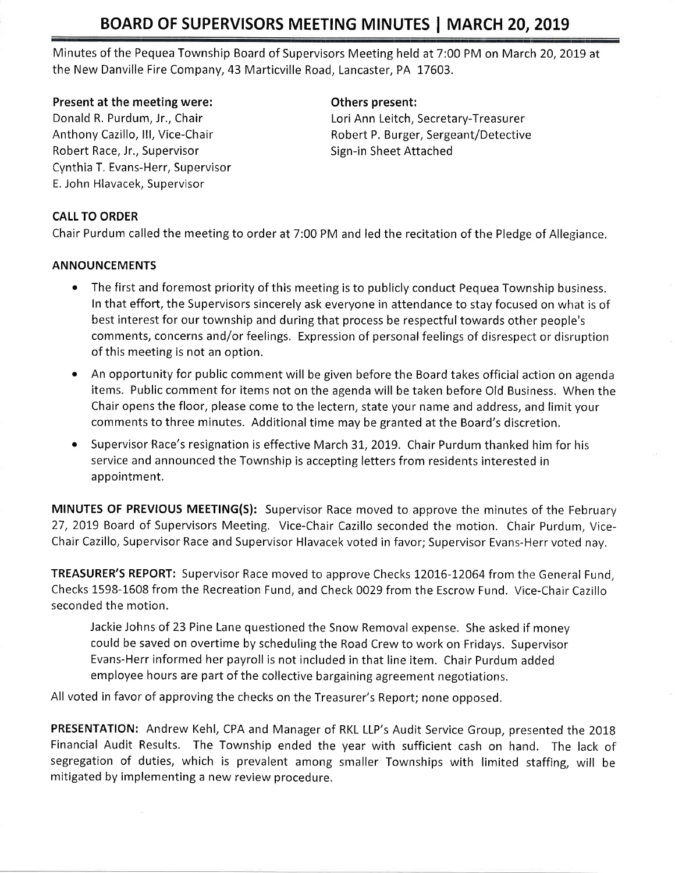# BOARD OF SUPERVISORS MEETING MINUTES | MARCH 20, 2019

Minutes of the Pequea Township Board of Supervisors Meeting held at 7:00 PM on March 20, 2019 at the New Danville Fire Company,43 Marticville Road, Lancaster, PA 17603.

#### Present at the meeting were:

Donald R, Purdum, Jr,, Chair Anthony Cazillo, lll, Vice-Chair Robert Race, Jr., Supervisor Cynthia T. Evans-Herr, Supervisor E. John Hlavacek, Supervisor

### Others present:

Lori Ann Leitch, Secretary-Treasurer Robert P. Burger, Sergeant/Detective Sign-in Sheet Attached

# CALL TO ORDER

Chair Purdum called the meeting to order at 7:00 PM and led the recitation of the Pledge of Allegiance.

#### ANNOUNCEMENTS

- The first and foremost priority of this meeting is to publicly conduct Pequea Township business. In that effoft, the Supervisors sincerely ask everyone in attendance to stay focused on what is of best interest for our township and during that process be respectful towards other people's comments, concerns and/or feelings, Expression of personal feelings of disrespect or disruption of this meeting is not an option.
- An opportunity for public comment will be given before the Board takes official action on agenda items. Public comment for items not on the agenda will be taken before Old Business. When the Chair opens the floor, please come to the lectern, state your name and address, and limit your comments to three minutes. Additional tirne may be granted at the Board's discretion.
- Supervisor Race's resignation is effective March 31, 2019. Chair Purdum thanked him for his service and announced the Township is accepting letters from residents interested in appointment.

MINUTES OF PREVIOUS MEETING(S): Supervisor Race moved to approve the minutes of the February 27, 2019 Board of Supervisors Meeting. Vice-Chair Cazillo seconded the motion. Chair Purdum, Vice-Chair Cazillo, Supervisor Race and Supervisor Hlavacek voted in favor; Supervisor Evans-Herr voted nay.

**TREASURER'S REPORT:** Supervisor Race moved to approve Checks 12016-12064 from the General Fund, Checks 1598-1608 from the Recreation Fund, and Check 0029 from the Escrow Fund. Vice-Chair Cazillo seconded the motion.

Jackie Johns of 23 Pine Lane questioned the Snow Removal expense. She asked if money could be saved on overtime by scheduling the Road Crew to work on Fridays, Supervisor Evans-Herr informed her payroll is not included in that line item. Chair Purdum added employee hours are part of the collective bargaining agreement negotiations.

All voted in favor of approving the checks on the Treasurer's Report; none opposed.

PRESENTATION: Andrew Kehl, CPA and Manager of RKL LLP's Audit Service Group, presented the 2018 Financial Audit Results. The Township ended the year with sufficient cash on hand. The lack of segregation of duties, which is prevalent among smaller Townships with limited staffing, will be mitigated by implementing a new review procedure,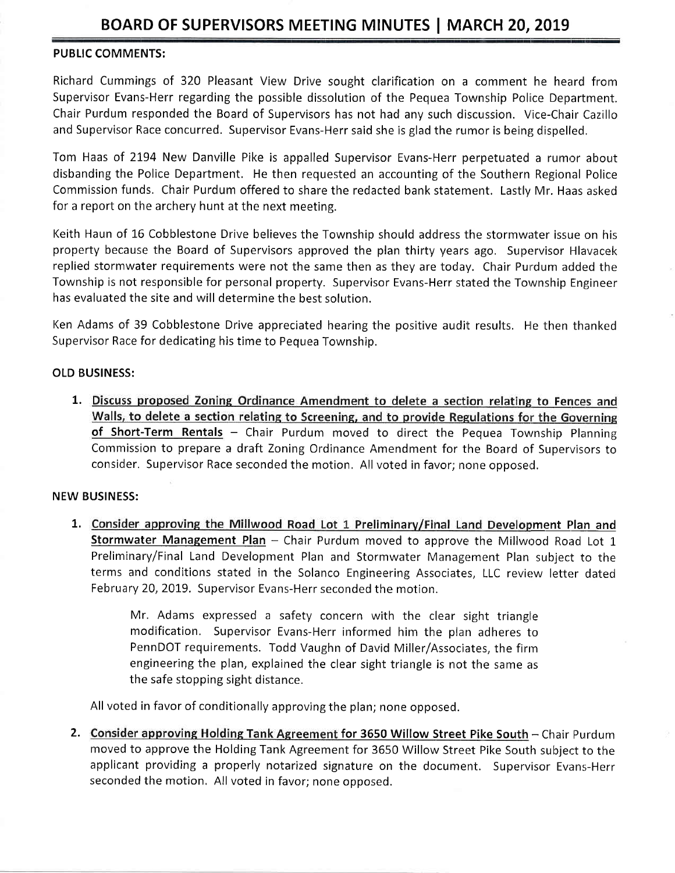### PUBLIC COMMENTS:

Richard Cummings of 320 Pleasant View Drive sought clarification on a comment he heard from Supervisor Evans-Herr regarding the possible dissolution of the Pequea Township Police Department. Chair Purdum responded the Board of Supervisors has not had any such discussion. V'ice-Chair Cazillo and Supervisor Race concurred, Supervisor Evans-Herr said she is glad the rumor is being dispelled.

Tom Haas of 2194 New Danville Pike is appalled Supervisor Evans-Herr perpetuated a rumor about disbanding the Police Department, He then requested an accounting of the Southern Regional Police Commission funds. Chair Purdum offered to share the redacted bank statement. Lastlv Mr. Haas asked for a report on the archery hunt at the next meeting.

Keith Haun of 16 Cobblestone Drive believes the Township should address the stormwater issue on his property because the Board of Supervisors approved the plan thirty years ago. Supervisor Hlavacek replied stormwater requirements were not the same then as they are today. Chair Purdum added the Township is not responsible for personal property. Supervisor Evans-Herr stated the Township Engineer has evaluated the site and will determine the best solution.

Ken Adams of 39 Cobblestone Drive appreciated hearing the positive audit results. He then thanked Supervisor Race for dedicating his time to Pequea Township.

#### OLD BUSINESS:

1. Discuss proposed Zoning Ordinance Amendment to delete a section relating to Fences and Walls, to delete a section relating to Screening, and to provide Regulations for the Governing of Short-Term Rentals - Chair Purdum moved to direct the Pequea Township Planning Commission to prepare a draft Zoning Ordinance Amendment for the Board of Supervisors to consider. Supervisor Race seconded the motion. All voted in favor; none opposed.

#### NEW BUSINESS:

1. Consider approving the Millwood Road Lot 1 Preliminary/Final Land Development Plan and Stormwater Management Plan - Chair Purdum moved to approve the Millwood Road Lot 1 Preliminary/Final Land Development Plan and Stormwater Management Plan subject to the terms and conditions stated in the Solanco Engineering Associates, LLC review letter dated February 20,2019. Supervisor Evans-Herr seconded the motion.

> Mr. Adams expressed a safety concern with the clear sight triangle modification. Supervisor Evans-Herr informed him the plan adheres to PennDOT requirements. Todd Vaughn of David Miller/Associates, the firrn engineering the plan, explained the clear sight triangle is not the same as the safe stopping sight distance.

All voted in favor of conditionally approving the plan; none opposed.

2. Consider approving Holding Tank Agreement for 3650 Willow Street Pike South - Chair Purdum moved to approve the Holding Tank Agreement for 3650 Willow Street Pike South subject to the applicant providing a properly notarized signature on the document. Supervisor Evans-Herr seconded the motion. All voted in favor; none opposed.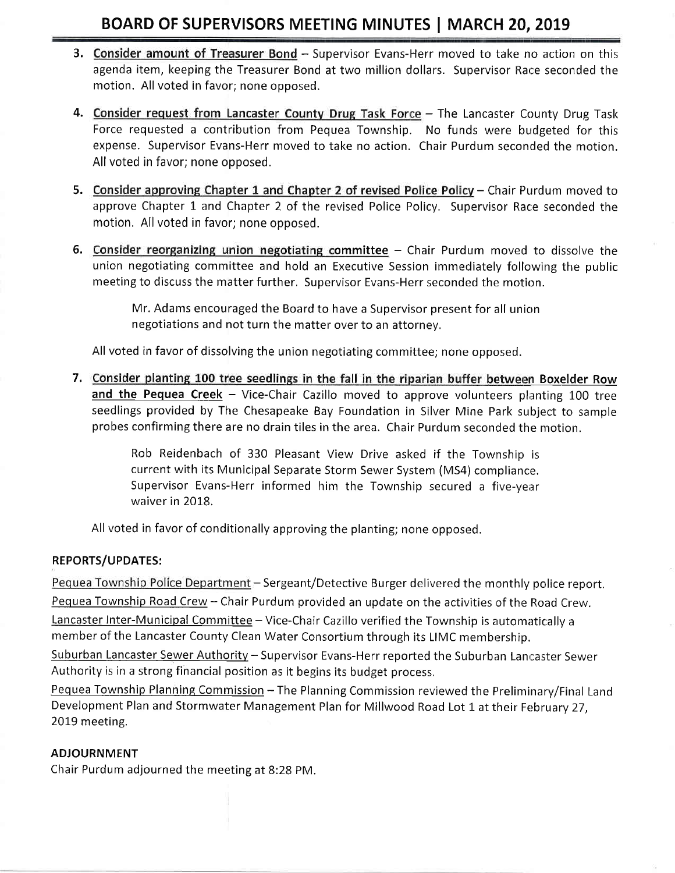# BOARD OF SUPERVISORS MEETING MINUTES | MARCH 20, 2019

- 3. Consider amount of Treasurer Bond Supervisor Evans-Herr moved to take no action on this agenda item, keeping the Treasurer Bond at two million dollars. Supervisor Race seconded the motion. All voted in favor; none opposed,
- 4. Consider request from Lancaster County Drug Task Force The Lancaster County Drug Task Force requested a contribution from Pequea Township. No funds were budgeted for this expense. Supervisor Evans-Herr moved to take no action. Chair Purdum seconded the motion. All voted in favor; none opposed.
- 5. Consider approving Chapter 1 and Chapter 2 of revised Police Policy Chair Purdum moved to approve Chapter 1 and Chapter 2 of the revised Police Policy. Supervisor Race seconded the motion, All voted in favor; none opposed.
- 6. Consider reorganizing union negotiating committee Chair Purdum moved to dissolve the union negotiating committee and hold an Executive Session immediately following the public meeting to discuss the matter further, Supervisor Evans-Herr seconded the motion.

Mr. Adams encouraged the Board to have a Supervisor present for all union negotiations and not turn the matter over to an attorney,

All voted in favor of dissolving the union negotiating committee; none opposed.

7. Consider planting 100 tree seedlings in the fall in the riparian buffer between Boxelder Row and the Pequea Creek - Vice-Chair Cazillo moved to approve volunteers planting 100 tree seedlings provided by The Chesapeake Bay Foundation in Silver Mine Park subject to sample probes confirming there are no drain tiles in the area. Chair Purdum seconded the motion.

> Rob Reidenbach of 330 Pleasant View Drive asked if the Township is current with its Municipal Separate Storm Sewer System (MS4) compliance. Supervisor Evans-Herr informed him the Township secured a five-year waiver in 2018.

All voted in favor of conditionally approving the planting; none opposed.

# REPORTS/UPDATES:

Pequea Township Police Department - Sergeant/Detective Burger delivered the monthly police report. Pequea Township Road Crew - Chair Purdum provided an update on the activities of the Road Crew. Lancaster Inter-Municipal Committee - Vice-Chair Cazillo verified the Township is automatically a member of the Lancaster County Clean Water Consortium through its LIMC membership.

Suburban Lancaster Sewer Authority - Supervisor Evans-Herr reported the Suburban Lancaster Sewer Authority is in a strong financial position as it begins its budget process,

Pequea Township Planning Commission - The Planning Commission reviewed the Preliminary/Final Land Development Plan and Stormwater Management Plan for Millwood Road Lot 1 at their February 27. 2019 meeting.

# ADJOURNMENT

Chair Purdum adjourned the meeting at B:28 PM.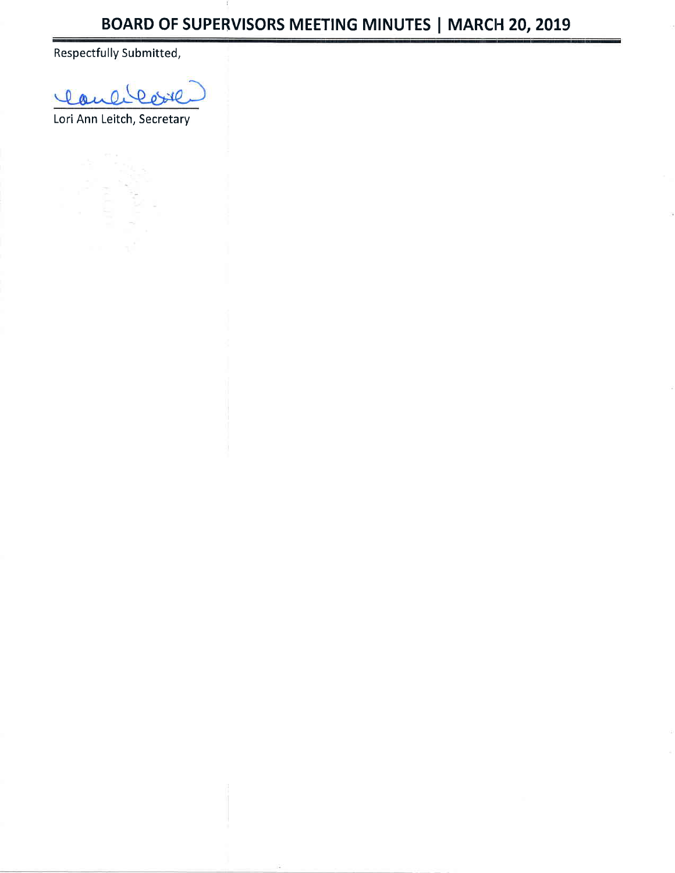Respectfully Submitted,

laulikore

Lori Ann Leitch, Secretary